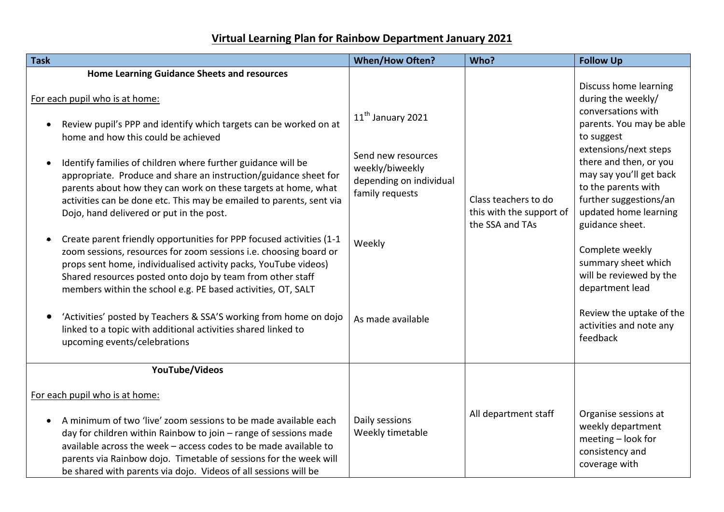## **Virtual Learning Plan for Rainbow Department January 2021**

| <b>Task</b>                                                                                                                                                                                                                                                                                                                                                                                                                                                                                                                                                                                                                                                                                                                                                                                                                                                                                                                                                                                                                                                 | <b>When/How Often?</b>                                                                                                                              | Who?                                                                | <b>Follow Up</b>                                                                                                                                                                                                                                                                                                                                                                                                                                  |
|-------------------------------------------------------------------------------------------------------------------------------------------------------------------------------------------------------------------------------------------------------------------------------------------------------------------------------------------------------------------------------------------------------------------------------------------------------------------------------------------------------------------------------------------------------------------------------------------------------------------------------------------------------------------------------------------------------------------------------------------------------------------------------------------------------------------------------------------------------------------------------------------------------------------------------------------------------------------------------------------------------------------------------------------------------------|-----------------------------------------------------------------------------------------------------------------------------------------------------|---------------------------------------------------------------------|---------------------------------------------------------------------------------------------------------------------------------------------------------------------------------------------------------------------------------------------------------------------------------------------------------------------------------------------------------------------------------------------------------------------------------------------------|
| <b>Home Learning Guidance Sheets and resources</b><br>For each pupil who is at home:<br>Review pupil's PPP and identify which targets can be worked on at<br>home and how this could be achieved<br>Identify families of children where further guidance will be<br>$\bullet$<br>appropriate. Produce and share an instruction/guidance sheet for<br>parents about how they can work on these targets at home, what<br>activities can be done etc. This may be emailed to parents, sent via<br>Dojo, hand delivered or put in the post.<br>Create parent friendly opportunities for PPP focused activities (1-1<br>zoom sessions, resources for zoom sessions i.e. choosing board or<br>props sent home, individualised activity packs, YouTube videos)<br>Shared resources posted onto dojo by team from other staff<br>members within the school e.g. PE based activities, OT, SALT<br>'Activities' posted by Teachers & SSA'S working from home on dojo<br>linked to a topic with additional activities shared linked to<br>upcoming events/celebrations | 11 <sup>th</sup> January 2021<br>Send new resources<br>weekly/biweekly<br>depending on individual<br>family requests<br>Weekly<br>As made available | Class teachers to do<br>this with the support of<br>the SSA and TAs | Discuss home learning<br>during the weekly/<br>conversations with<br>parents. You may be able<br>to suggest<br>extensions/next steps<br>there and then, or you<br>may say you'll get back<br>to the parents with<br>further suggestions/an<br>updated home learning<br>guidance sheet.<br>Complete weekly<br>summary sheet which<br>will be reviewed by the<br>department lead<br>Review the uptake of the<br>activities and note any<br>feedback |
| YouTube/Videos<br>For each pupil who is at home:<br>A minimum of two 'live' zoom sessions to be made available each<br>day for children within Rainbow to join - range of sessions made                                                                                                                                                                                                                                                                                                                                                                                                                                                                                                                                                                                                                                                                                                                                                                                                                                                                     | Daily sessions<br>Weekly timetable                                                                                                                  | All department staff                                                | Organise sessions at<br>weekly department                                                                                                                                                                                                                                                                                                                                                                                                         |
| available across the week - access codes to be made available to<br>parents via Rainbow dojo. Timetable of sessions for the week will<br>be shared with parents via dojo. Videos of all sessions will be                                                                                                                                                                                                                                                                                                                                                                                                                                                                                                                                                                                                                                                                                                                                                                                                                                                    |                                                                                                                                                     |                                                                     | meeting - look for<br>consistency and<br>coverage with                                                                                                                                                                                                                                                                                                                                                                                            |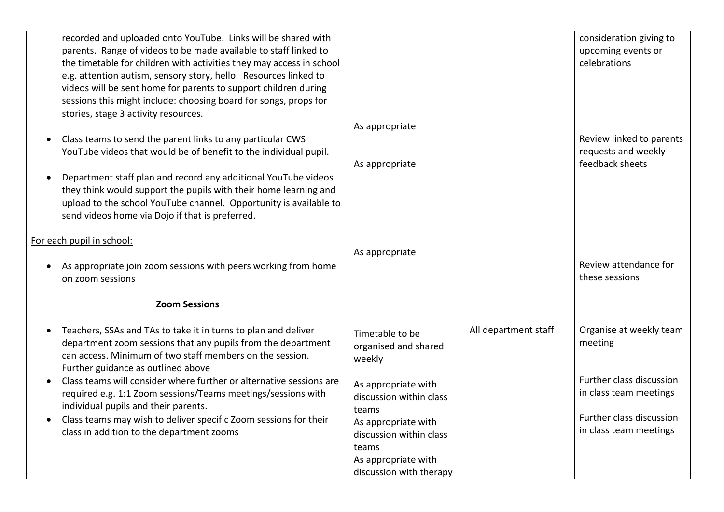| recorded and uploaded onto YouTube. Links will be shared with<br>parents. Range of videos to be made available to staff linked to<br>the timetable for children with activities they may access in school<br>e.g. attention autism, sensory story, hello. Resources linked to<br>videos will be sent home for parents to support children during<br>sessions this might include: choosing board for songs, props for<br>stories, stage 3 activity resources.<br>Class teams to send the parent links to any particular CWS<br>YouTube videos that would be of benefit to the individual pupil. | As appropriate                                                                                                                                                                                                            |                      | consideration giving to<br>upcoming events or<br>celebrations<br>Review linked to parents<br>requests and weekly                               |
|------------------------------------------------------------------------------------------------------------------------------------------------------------------------------------------------------------------------------------------------------------------------------------------------------------------------------------------------------------------------------------------------------------------------------------------------------------------------------------------------------------------------------------------------------------------------------------------------|---------------------------------------------------------------------------------------------------------------------------------------------------------------------------------------------------------------------------|----------------------|------------------------------------------------------------------------------------------------------------------------------------------------|
| Department staff plan and record any additional YouTube videos<br>they think would support the pupils with their home learning and<br>upload to the school YouTube channel. Opportunity is available to<br>send videos home via Dojo if that is preferred.                                                                                                                                                                                                                                                                                                                                     | As appropriate                                                                                                                                                                                                            |                      | feedback sheets                                                                                                                                |
| For each pupil in school:<br>As appropriate join zoom sessions with peers working from home<br>on zoom sessions                                                                                                                                                                                                                                                                                                                                                                                                                                                                                | As appropriate                                                                                                                                                                                                            |                      | Review attendance for<br>these sessions                                                                                                        |
| <b>Zoom Sessions</b><br>Teachers, SSAs and TAs to take it in turns to plan and deliver<br>department zoom sessions that any pupils from the department<br>can access. Minimum of two staff members on the session.<br>Further guidance as outlined above<br>Class teams will consider where further or alternative sessions are<br>required e.g. 1:1 Zoom sessions/Teams meetings/sessions with<br>individual pupils and their parents.<br>Class teams may wish to deliver specific Zoom sessions for their<br>class in addition to the department zooms                                       | Timetable to be<br>organised and shared<br>weekly<br>As appropriate with<br>discussion within class<br>teams<br>As appropriate with<br>discussion within class<br>teams<br>As appropriate with<br>discussion with therapy | All department staff | Organise at weekly team<br>meeting<br>Further class discussion<br>in class team meetings<br>Further class discussion<br>in class team meetings |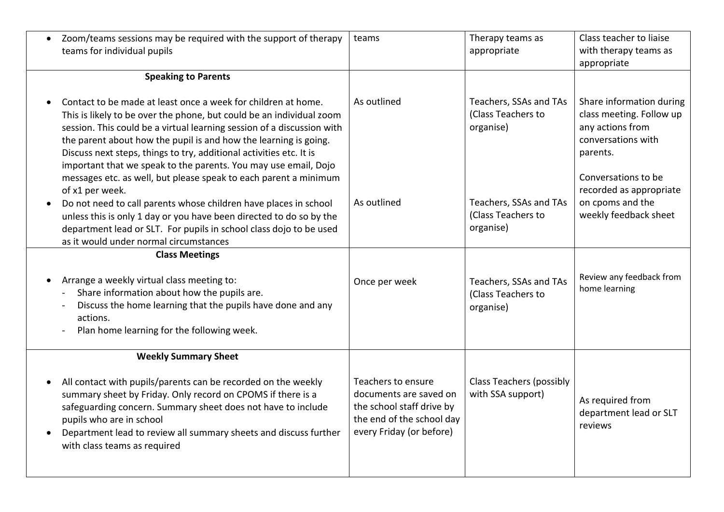| Zoom/teams sessions may be required with the support of therapy<br>$\bullet$<br>teams for individual pupils                                                                                                                                                                                                                                                                                                                   | teams                                                                                                                              | Therapy teams as<br>appropriate                           | Class teacher to liaise<br>with therapy teams as<br>appropriate                                            |
|-------------------------------------------------------------------------------------------------------------------------------------------------------------------------------------------------------------------------------------------------------------------------------------------------------------------------------------------------------------------------------------------------------------------------------|------------------------------------------------------------------------------------------------------------------------------------|-----------------------------------------------------------|------------------------------------------------------------------------------------------------------------|
| <b>Speaking to Parents</b>                                                                                                                                                                                                                                                                                                                                                                                                    |                                                                                                                                    |                                                           |                                                                                                            |
| Contact to be made at least once a week for children at home.<br>This is likely to be over the phone, but could be an individual zoom<br>session. This could be a virtual learning session of a discussion with<br>the parent about how the pupil is and how the learning is going.<br>Discuss next steps, things to try, additional activities etc. It is<br>important that we speak to the parents. You may use email, Dojo | As outlined                                                                                                                        | Teachers, SSAs and TAs<br>(Class Teachers to<br>organise) | Share information during<br>class meeting. Follow up<br>any actions from<br>conversations with<br>parents. |
| messages etc. as well, but please speak to each parent a minimum<br>of x1 per week.<br>Do not need to call parents whose children have places in school<br>unless this is only 1 day or you have been directed to do so by the<br>department lead or SLT. For pupils in school class dojo to be used<br>as it would under normal circumstances                                                                                | As outlined                                                                                                                        | Teachers, SSAs and TAs<br>(Class Teachers to<br>organise) | Conversations to be<br>recorded as appropriate<br>on cpoms and the<br>weekly feedback sheet                |
| <b>Class Meetings</b>                                                                                                                                                                                                                                                                                                                                                                                                         |                                                                                                                                    |                                                           |                                                                                                            |
| Arrange a weekly virtual class meeting to:<br>Share information about how the pupils are.<br>Discuss the home learning that the pupils have done and any<br>actions.<br>Plan home learning for the following week.                                                                                                                                                                                                            | Once per week                                                                                                                      | Teachers, SSAs and TAs<br>(Class Teachers to<br>organise) | Review any feedback from<br>home learning                                                                  |
| <b>Weekly Summary Sheet</b>                                                                                                                                                                                                                                                                                                                                                                                                   |                                                                                                                                    |                                                           |                                                                                                            |
| All contact with pupils/parents can be recorded on the weekly<br>summary sheet by Friday. Only record on CPOMS if there is a<br>safeguarding concern. Summary sheet does not have to include<br>pupils who are in school<br>Department lead to review all summary sheets and discuss further<br>with class teams as required                                                                                                  | Teachers to ensure<br>documents are saved on<br>the school staff drive by<br>the end of the school day<br>every Friday (or before) | <b>Class Teachers (possibly</b><br>with SSA support)      | As required from<br>department lead or SLT<br>reviews                                                      |